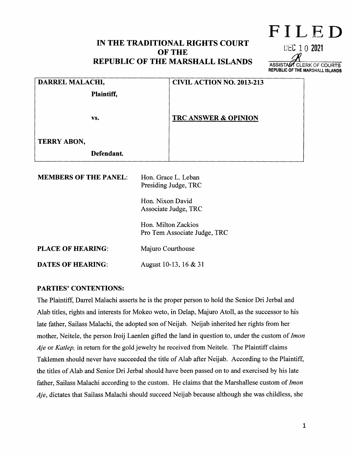# **IN THE TRADITIONAL RIGHTS COURT OF THE REPUBLIC OF THE MARSHALL ISLANDS**



| DARREL MALACHI,              |                                                     | <b>CIVIL ACTION NO. 2013-213</b> |
|------------------------------|-----------------------------------------------------|----------------------------------|
| Plaintiff,                   |                                                     |                                  |
| VS.                          |                                                     | <b>TRC ANSWER &amp; OPINION</b>  |
| <b>TERRY ABON,</b>           |                                                     |                                  |
| Defendant.                   |                                                     |                                  |
| <b>MEMBERS OF THE PANEL:</b> | Hon. Grace L. Leban<br>Presiding Judge, TRC         |                                  |
|                              | Hon. Nixon David<br>Associate Judge, TRC            |                                  |
|                              | Hon. Milton Zackios<br>Pro Tem Associate Judge, TRC |                                  |
| <b>PLACE OF HEARING:</b>     | Majuro Courthouse                                   |                                  |
| <b>DATES OF HEARING:</b>     | August 10-13, 16 & 31                               |                                  |

#### **PARTIES' CONTENTIONS:**

The Plaintiff, Darrel Malachi asserts he is the proper person to hold the Senior Dri Jerbal and Alab titles, rights and interests for Mokeo weto, in Delap, Majuro Atoll, as the successor to his late father, Sailass Malachi, the adopted son of Neijab. Neijab inherited her rights from her mother, Neitele, the person Iroij Laenlen gifted the land in question to, under the custom of *Imon Aje* or *Katlep,* in return for the gold jewelry he received from Neitele. The Plaintiff claims Taklemen should never have succeeded the title of Alab after Neijab. According to the Plaintiff, the titles of Alab and Senior Dri Jerbal should have been passed on to and exercised by his late father, Sailass Malachi according to the custom. He claims that the Marshallese custom of *Imon Aje,* dictates that Sailass Malachi should succeed Neijab because although she was childless, she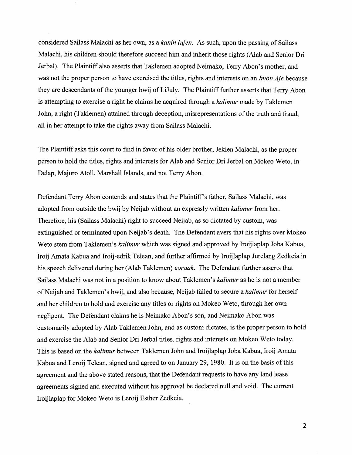considered Sailass Malachi as her own, as a *kanin lujen*. As such, upon the passing of Sailass Malachi, his children should therefore succeed him and inherit those rights (Alab and Senior Dri Jerbal). The Plaintiff also asserts that Taklemen adopted Neimako, Terry Abon's mother, and was not the proper person to have exercised the titles, rights and interests on an *Imon Aje* because they are descendants of the younger bwij of LiJuly. The Plaintiff further asserts that Terry Abon is attempting to exercise a right he claims he acquired through a *kalimur* made by Taklemen John, a right (Taklemen) attained through deception, misrepresentations of the truth and fraud, all in her attempt to take the rights away from Sailass Malachi.

The Plaintiff asks this court to find in favor of his older brother, Jekien Malachi, as the proper person to hold the titles, rights and interests for Alab and Senior Dri Jerbal on Mokeo Weto, in Delap, Majuro Atoll, Marshall Islands, and not Terry Abon.

Defendant Terry Abon contends and states that the Plaintiff's father, Sailass Malachi, was adopted from outside the bwij by Neijab without an expressly written *kalimur* from her. Therefore, his (Sailass Malachi) right to succeed Neijab, as so dictated by custom, was extinguished or terminated upon Neijab's death. The Defendant avers that his rights over Mokeo Weto stem from Taklemen's *kalimur* which was signed and approved by Iroijlaplap Joba Kabua, Iroij Amata Kabua and Iroij-edrik Telean, and further affirmed by Iroijlaplap Jurelang Zedkeia in his speech delivered during her (Alab Taklemen) *eoraak.* The Defendant further asserts that Sailass Malachi was not in a position to know about Taklemen's *kalimur* as he is not a member ofNeijab and Taklemen's bwij, and also because, Neijab failed to secure a *kalimur* for herself and her children to hold and exercise any titles or rights on Mokeo Weto, through her own negligent. The Defendant claims he is Neimako Abon's son, and Neimako Abon was customarily adopted by Alab Taklemen John, and as custom dictates, is the proper person to hold and exercise the Alab and Senior Dri Jerbal titles, rights and interests on Mokeo Weto today. This is based on the *kalimur* between Taklemen John and Iroijlaplap Joba Kabua, Iroij Amata Kabua and Leroij Telean, signed and agreed to on January 29, 1980. It is on the basis of this agreement and the above stated reasons, that the Defendant requests to have any land lease agreements signed and executed without his approval be declared null and void. The current Iroijlaplap for Mokeo Weto is Leroij Esther Zedkeia.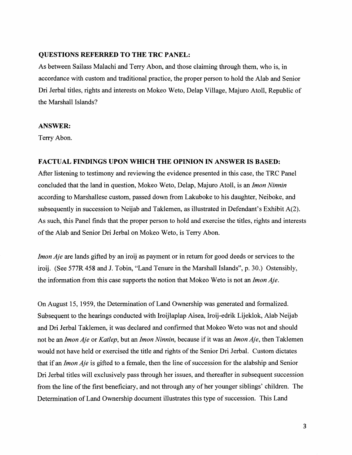#### **QUESTIONS REFERRED TO THE TRC PANEL:**

As between Sailass Malachi and Terry Abon, and those claiming through them, who is, in accordance with custom and traditional practice, the proper person to hold the Alab and Senior Dri Jerbal titles, rights and interests on Mokeo Weto, Delap Village, Majuro Atoll, Republic of the Marshall Islands?

#### **ANSWER:**

Terry Abon.

#### **FACTUAL FINDINGS UPON WHICH THE OPINION IN ANSWER IS BASED:**

After listening to testimony and reviewing the evidence presented in this case, the TRC Panel concluded that the land in question, Mokeo W eto, Delap, Majuro Atoll, is an *Imon Ninnin*  according to Marshallese custom, passed down from Lakuboke to his daughter, Neiboke, and subsequently in succession to Neijab and Taklemen, as illustrated in Defendant's Exhibit A(2). As such, this Panel finds that the proper person to hold and exercise the titles, rights and interests of the Alab and Senior Dri Jerbal on Mokeo Weto, is Terry Abon.

*Imon Aje* are lands gifted by an iroij as payment or in return for good deeds or services to the iroij. (See 577R 458 and J. Tobin, "Land Tenure in the Marshall Islands", p. 30.) Ostensibly, the information from this case supports the notion that Mokeo Weto is not an *Imon Aje.* 

On August 15, 1959, the Determination of Land Ownership was generated and formalized. Subsequent to the hearings conducted with Iroijlaplap Aisea, Iroij-edrik Lijeklok, Alab Neijab and Dri Jerbal Taklemen, it was declared and confirmed that Mokeo Weto was not and should not be an *Jmon Aje* or *Katlep,* but an *Imon Ninnin,* because if it was an *Jmon Aje,* then Taklemen would not have held or exercised the title and rights of the Senior Dri Jerbal. Custom dictates that if an *Imon Aje* is gifted to a female, then the line of succession for the alabship and Senior Dri Jerbal titles will exclusively pass through her issues, and thereafter in subsequent succession from the line of the first beneficiary, and not through any of her younger siblings' children. The Determination of Land Ownership document illustrates this type of succession. This Land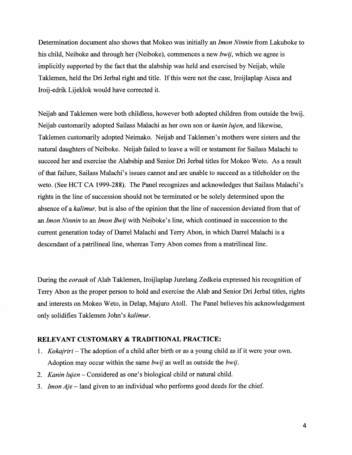Determination document also shows that Mokeo was initially an *lmon Ninnin* from Lakuboke to his child, Neiboke and through her (Neiboke), commences a new *bwij,* which we agree is implicitly supported by the fact that the alabship was held and exercised by Neijab, while Taklemen, held the Dri Jerbal right and title. If this were not the case, Iroijlaplap Aisea and Iroij-edrik Lijeklok would have corrected it.

Neijab and Taklemen were both childless, however both adopted children from outside the bwij. Neijab customarily adopted Sailass Malachi as her own son or *kanin lujen,* and likewise, Taklemen customarily adopted Neimako. Neijab and Taklemen's mothers were sisters and the natural daughters of Neiboke. Neijab failed to leave a will or testament for Sailass Malachi to succeed her and exercise the Alabship and Senior Dri Jerbal titles for Mokeo Weto. As a result of that failure, Sail ass Malachi's issues cannot and are unable to succeed as a titleholder on the weto. (See HCT CA 1999-288). The Panel recognizes and acknowledges that Sailass Malachi's rights in the line of succession should not be terminated or be solely determined upon the absence of a *kalimur,* but is also of the opinion that the line of succession deviated from that of an *lmon Ninnin* to an *lmon Bwij* with Neiboke's line, which continued in succession to the current generation today of Darrel Malachi and Terry Abon, in which Darrel Malachi is a descendant of a patrilineal line, whereas Terry Abon comes from a matrilineal line.

During the *eoraak* of Alab Taklemen, Iroijlaplap Jurelang Zedkeia expressed his recognition of Terry Abon as the proper person to hold and exercise the Alab and Senior Dri Jerbal titles, rights and interests on Mokeo Weto, in Delap, Majuro Atoll. The Panel believes his acknowledgement only solidifies Taklemen John's *kalimur.* 

#### **RELEVANT CUSTOMARY & TRADITIONAL PRACTICE:**

- 1. *Kokajriri-* The adoption of a child after birth or as a young child as if it were your own. Adoption may occur within the same *bwij* as well as outside the *bwij.*
- 2. *Kanin lujen-* Considered as one's biological child or natural child.
- 3. *Jmon Aje* -land given to an individual who performs good deeds for the chief.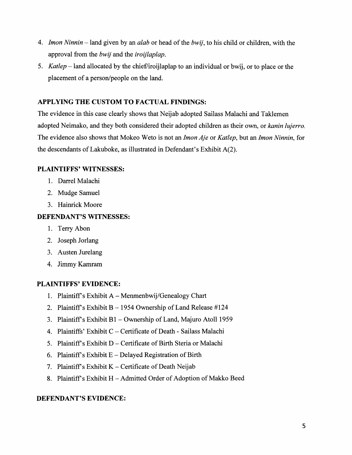- 4. *Imon Ninnin*  land given by an *alab* or head of the *bwij,* to his child or children, with the approval from the *bwij* and the *iroijlaplap.*
- 5. *Katlep* -land allocated by the chief/iroijlaplap to an individual or bwij, or to place or the placement of a person/people on the land.

## APPLYING THE CUSTOM TO FACTUAL FINDINGS:

The evidence in this case clearly shows that Neijab adopted Sailass Malachi and Taklemen adopted Neimako, and they both considered their adopted children as their own, or *kanin lujerro.*  The evidence also shows that Mokeo Weto is not an *Imon Aje* or *Katlep,* but an *Imon Ninnin,* for the descendants of Lakuboke, as illustrated in Defendant's Exhibit  $A(2)$ .

# PLAINTIFFS' WITNESSES:

- 1. Darrel Malachi
- 2. Mudge Samuel
- 3. Hainrick Moore

# DEFENDANT'S WITNESSES:

- 1. Terry Abon
- 2. Joseph Jorlang
- 3. Austen Jurelang
- 4. Jimmy Kamram

# PLAINTIFFS' EVIDENCE:

- 1. Plaintiff's Exhibit  $A M$ enmenbwij/Genealogy Chart
- 2. Plaintiff's Exhibit B  $-$  1954 Ownership of Land Release #124
- 3. Plaintiff's Exhibit B1 Ownership of Land, Majuro Atoll 1959
- 4. Plaintiffs' Exhibit C- Certificate of Death- Sailass Malachi
- 5. Plaintiffs Exhibit D- Certificate of Birth Steria or Malachi
- 6. Plaintiff's Exhibit  $E$  Delayed Registration of Birth
- 7. Plaintiff's Exhibit  $K$  Certificate of Death Neijab
- 8. Plaintiff's Exhibit  $H -$  Admitted Order of Adoption of Makko Beed

## DEFENDANT'S EVIDENCE: